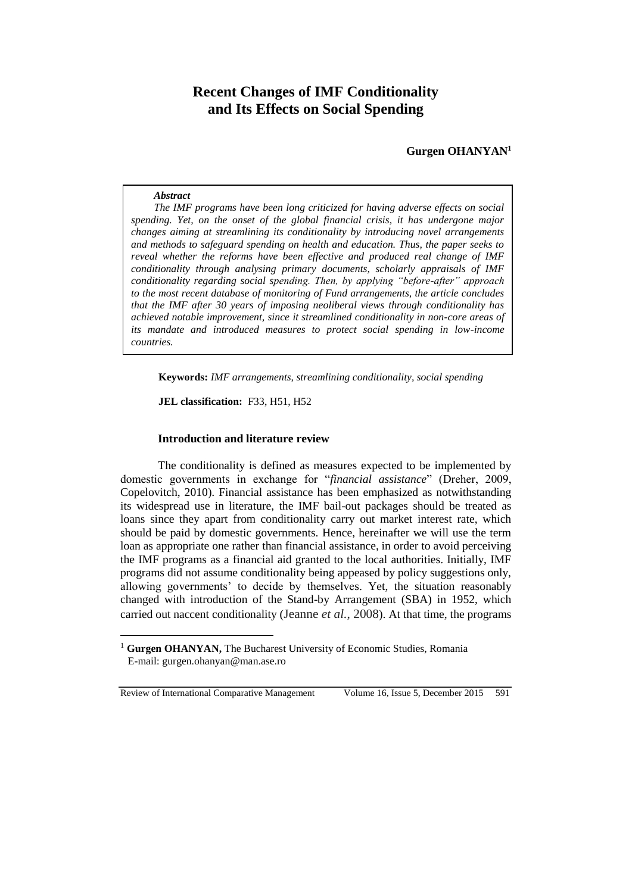# **Recent Changes of IMF Conditionality and Its Effects on Social Spending**

**Gurgen OHANYAN<sup>1</sup>**

#### *Abstract*

*The IMF programs have been long criticized for having adverse effects on social spending. Yet, on the onset of the global financial crisis, it has undergone major changes aiming at streamlining its conditionality by introducing novel arrangements and methods to safeguard spending on health and education. Thus, the paper seeks to reveal whether the reforms have been effective and produced real change of IMF conditionality through analysing primary documents, scholarly appraisals of IMF conditionality regarding social spending. Then, by applying "before-after" approach to the most recent database of monitoring of Fund arrangements, the article concludes that the IMF after 30 years of imposing neoliberal views through conditionality has achieved notable improvement, since it streamlined conditionality in non-core areas of its mandate and introduced measures to protect social spending in low-income countries.* 

**Keywords:** *IMF arrangements, streamlining conditionality, social spending*

**JEL classification:** F33, H51, H52

# **Introduction and literature review**

The conditionality is defined as measures expected to be implemented by domestic governments in exchange for "*financial assistance*" (Dreher, 2009, Copelovitch, 2010). Financial assistance has been emphasized as notwithstanding its widespread use in literature, the IMF bail-out packages should be treated as loans since they apart from conditionality carry out market interest rate, which should be paid by domestic governments. Hence, hereinafter we will use the term loan as appropriate one rather than financial assistance, in order to avoid perceiving the IMF programs as a financial aid granted to the local authorities. Initially, IMF programs did not assume conditionality being appeased by policy suggestions only, allowing governments' to decide by themselves. Yet, the situation reasonably changed with introduction of the Stand-by Arrangement (SBA) in 1952, which carried out naccent conditionality (Jeanne *et al.*, 2008). At that time, the programs

Review of International Comparative Management Volume 16, Issue 5, December 2015 591

 $\overline{a}$ 

<sup>&</sup>lt;sup>1</sup> **Gurgen OHANYAN,** The Bucharest University of Economic Studies, Romania E-mail: [gurgen.ohanyan@man.ase.ro](mailto:gurgen.ohanyan@man.ase.ro)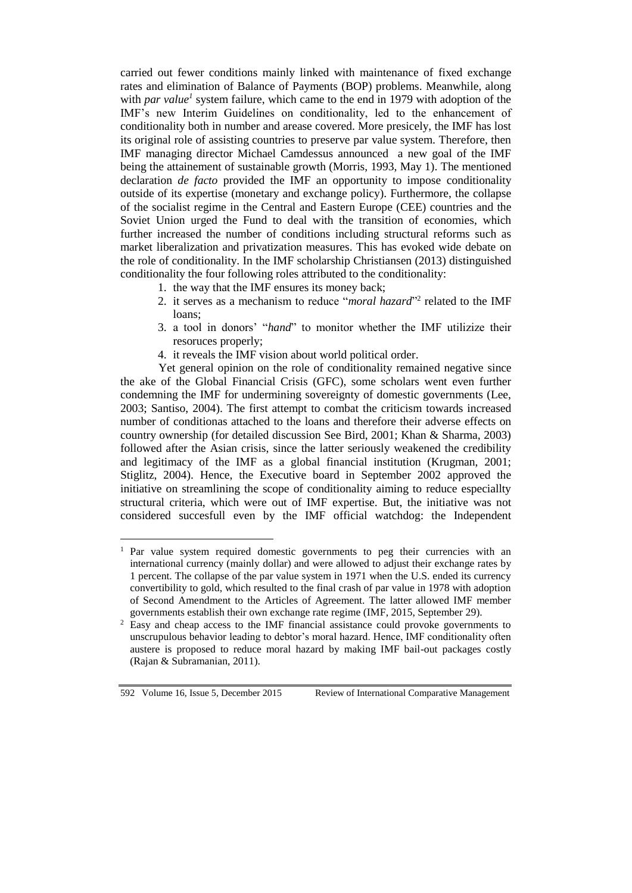carried out fewer conditions mainly linked with maintenance of fixed exchange rates and elimination of Balance of Payments (BOP) problems. Meanwhile, along with *par value<sup>1</sup>* system failure, which came to the end in 1979 with adoption of the IMF's new Interim Guidelines on conditionality, led to the enhancement of conditionality both in number and arease covered. More presicely, the IMF has lost its original role of assisting countries to preserve par value system. Therefore, then IMF managing director Michael Camdessus announced a new goal of the IMF being the attainement of sustainable growth (Morris, 1993, May 1). The mentioned declaration *de facto* provided the IMF an opportunity to impose conditionality outside of its expertise (monetary and exchange policy). Furthermore, the collapse of the socialist regime in the Central and Eastern Europe (CEE) countries and the Soviet Union urged the Fund to deal with the transition of economies, which further increased the number of conditions including structural reforms such as market liberalization and privatization measures. This has evoked wide debate on the role of conditionality. In the IMF scholarship Christiansen (2013) distinguished conditionality the four following roles attributed to the conditionality:

- 1. the way that the IMF ensures its money back;
- 2. it serves as a mechanism to reduce "*moral hazard*"<sup>2</sup> related to the IMF loans;
- 3. a tool in donors' "*hand*" to monitor whether the IMF utilizize their resoruces properly;
- 4. it reveals the IMF vision about world political order.

Yet general opinion on the role of conditionality remained negative since the ake of the Global Financial Crisis (GFC), some scholars went even further condemning the IMF for undermining sovereignty of domestic governments (Lee, 2003; Santiso, 2004). The first attempt to combat the criticism towards increased number of conditionas attached to the loans and therefore their adverse effects on country ownership (for detailed discussion See Bird, 2001; Khan & Sharma, 2003) followed after the Asian crisis, since the latter seriously weakened the credibility and legitimacy of the IMF as a global financial institution (Krugman, 2001; Stiglitz, 2004). Hence, the Executive board in September 2002 approved the initiative on streamlining the scope of conditionality aiming to reduce especiallty structural criteria, which were out of IMF expertise. But, the initiative was not considered succesfull even by the IMF official watchdog: the Independent

 $\overline{a}$ 

<sup>&</sup>lt;sup>1</sup> Par value system required domestic governments to peg their currencies with an international currency (mainly dollar) and were allowed to adjust their exchange rates by 1 percent. The collapse of the par value system in 1971 when the U.S. ended its currency convertibility to gold, which resulted to the final crash of par value in 1978 with adoption of Second Amendment to the Articles of Agreement. The latter allowed IMF member governments establish their own exchange rate regime (IMF, 2015, September 29).

<sup>&</sup>lt;sup>2</sup> Easy and cheap access to the IMF financial assistance could provoke governments to unscrupulous behavior leading to debtor's moral hazard. Hence, IMF conditionality often austere is proposed to reduce moral hazard by making IMF bail-out packages costly (Rajan & Subramanian, 2011).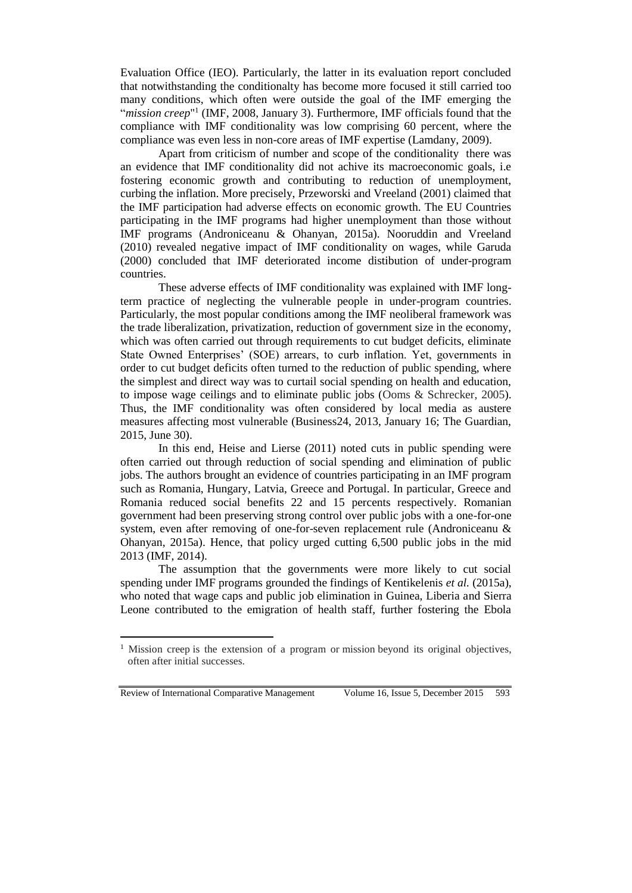Evaluation Office (IEO). Particularly, the latter in its evaluation report concluded that notwithstanding the conditionalty has become more focused it still carried too many conditions, which often were outside the goal of the IMF emerging the "*mission creep*"<sup>1</sup> (IMF, 2008, January 3). Furthermore, IMF officials found that the compliance with IMF conditionality was low comprising 60 percent, where the compliance was even less in non-core areas of IMF expertise (Lamdany, 2009).

Apart from criticism of number and scope of the conditionality there was an evidence that IMF conditionality did not achive its macroeconomic goals, i.e fostering economic growth and contributing to reduction of unemployment, curbing the inflation. More precisely, Przeworski and Vreeland (2001) claimed that the IMF participation had adverse effects on economic growth. The EU Countries participating in the IMF programs had higher unemployment than those without IMF programs (Androniceanu & Ohanyan, 2015a). Nooruddin and Vreeland (2010) revealed negative impact of IMF conditionality on wages, while Garuda (2000) concluded that IMF deteriorated income distibution of under-program countries.

These adverse effects of IMF conditionality was explained with IMF longterm practice of neglecting the vulnerable people in under-program countries. Particularly, the most popular conditions among the IMF neoliberal framework was the trade liberalization, privatization, reduction of government size in the economy, which was often carried out through requirements to cut budget deficits, eliminate State Owned Enterprises' (SOE) arrears, to curb inflation. Yet, governments in order to cut budget deficits often turned to the reduction of public spending, where the simplest and direct way was to curtail social spending on health and education, to impose wage ceilings and to eliminate public jobs (Ooms & Schrecker, 2005). Thus, the IMF conditionality was often considered by local media as austere measures affecting most vulnerable (Business24, 2013, January 16; The Guardian, 2015, June 30).

In this end, Heise and Lierse (2011) noted cuts in public spending were often carried out through reduction of social spending and elimination of public jobs. The authors brought an evidence of countries participating in an IMF program such as Romania, Hungary, Latvia, Greece and Portugal. In particular, Greece and Romania reduced social benefits 22 and 15 percents respectively. Romanian government had been preserving strong control over public jobs with a one-for-one system, even after removing of one-for-seven replacement rule (Androniceanu & Ohanyan, 2015a). Hence, that policy urged cutting 6,500 public jobs in the mid 2013 (IMF, 2014).

The assumption that the governments were more likely to cut social spending under IMF programs grounded the findings of Kentikelenis *et al.* (2015a), who noted that wage caps and public job elimination in Guinea, Liberia and Sierra Leone contributed to the emigration of health staff, further fostering the Ebola

Review of International Comparative Management Volume 16, Issue 5, December 2015 593

 $\overline{a}$ 

<sup>&</sup>lt;sup>1</sup> Mission creep is the extension of a program or mission beyond its original objectives, often after initial successes.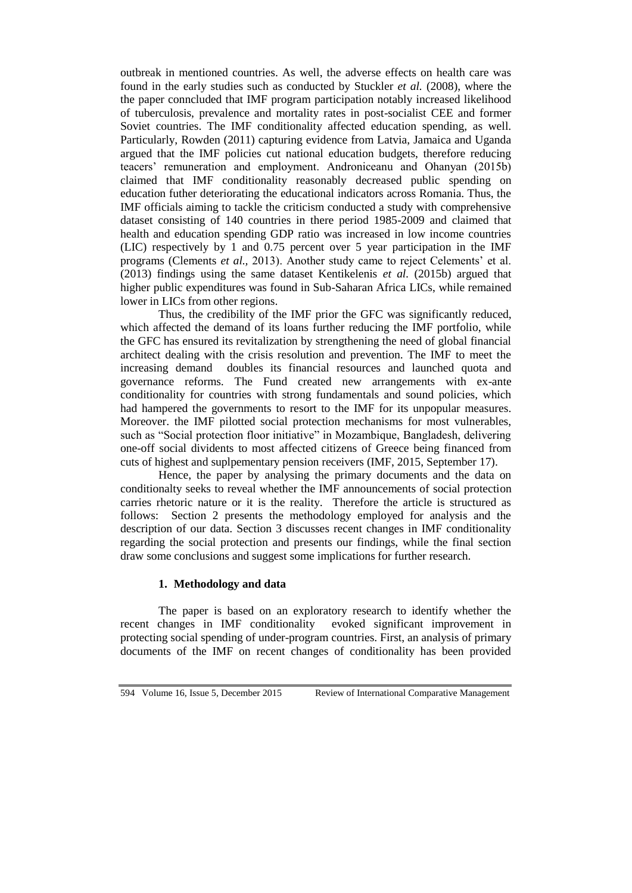outbreak in mentioned countries. As well, the adverse effects on health care was found in the early studies such as conducted by Stuckler *et al.* (2008), where the the paper conncluded that IMF program participation notably increased likelihood of tuberculosis, prevalence and mortality rates in post-socialist CEE and former Soviet countries. The IMF conditionality affected education spending, as well. Particularly, Rowden (2011) capturing evidence from Latvia, Jamaica and Uganda argued that the IMF policies cut national education budgets, therefore reducing teacers' remuneration and employment. Androniceanu and Ohanyan (2015b) claimed that IMF conditionality reasonably decreased public spending on education futher deteriorating the educational indicators across Romania. Thus, the IMF officials aiming to tackle the criticism conducted a study with comprehensive dataset consisting of 140 countries in there period 1985-2009 and claimed that health and education spending GDP ratio was increased in low income countries (LIC) respectively by 1 and 0.75 percent over 5 year participation in the IMF programs (Clements *et al.,* 2013). Another study came to reject Celements' et al. (2013) findings using the same dataset Kentikelenis *et al.* (2015b) argued that higher public expenditures was found in Sub-Saharan Africa LICs, while remained lower in LICs from other regions.

Thus, the credibility of the IMF prior the GFC was significantly reduced, which affected the demand of its loans further reducing the IMF portfolio, while the GFC has ensured its revitalization by strengthening the need of global financial architect dealing with the crisis resolution and prevention. The IMF to meet the increasing demand doubles its financial resources and launched quota and governance reforms. The Fund created new arrangements with ex-ante conditionality for countries with strong fundamentals and sound policies, which had hampered the governments to resort to the IMF for its unpopular measures. Moreover. the IMF pilotted social protection mechanisms for most vulnerables, such as "Social protection floor initiative" in Mozambique, Bangladesh, delivering one-off social dividents to most affected citizens of Greece being financed from cuts of highest and suplpementary pension receivers (IMF, 2015, September 17).

Hence, the paper by analysing the primary documents and the data on conditionalty seeks to reveal whether the IMF announcements of social protection carries rhetoric nature or it is the reality. Therefore the article is structured as follows: Section 2 presents the methodology employed for analysis and the description of our data. Section 3 discusses recent changes in IMF conditionality regarding the social protection and presents our findings, while the final section draw some conclusions and suggest some implications for further research.

# **1. Methodology and data**

The paper is based on an exploratory research to identify whether the recent changes in IMF conditionality evoked significant improvement in protecting social spending of under-program countries. First, an analysis of primary documents of the IMF on recent changes of conditionality has been provided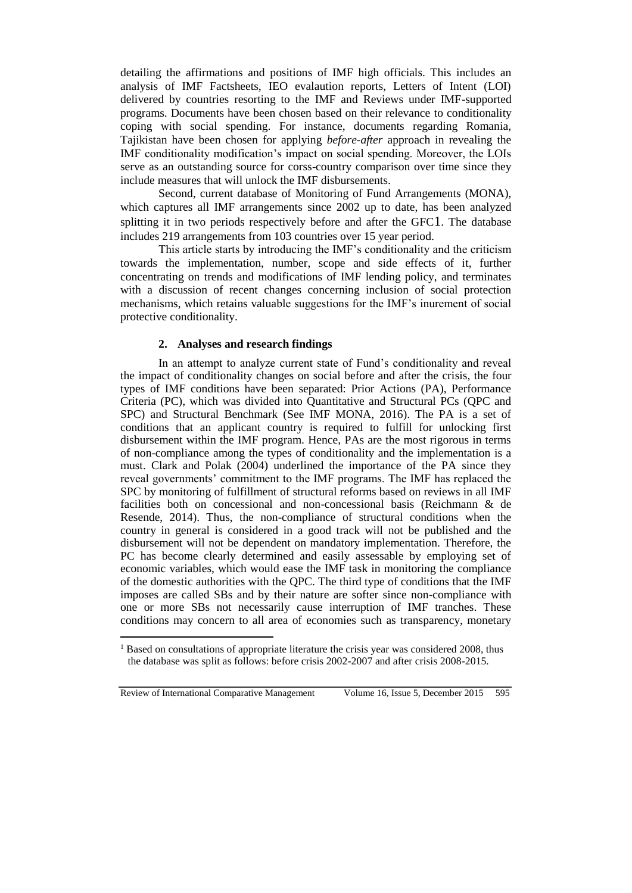detailing the affirmations and positions of IMF high officials. This includes an analysis of IMF Factsheets, IEO evalaution reports, Letters of Intent (LOI) delivered by countries resorting to the IMF and Reviews under IMF-supported programs. Documents have been chosen based on their relevance to conditionality coping with social spending. For instance, documents regarding Romania, Tajikistan have been chosen for applying *before-after* approach in revealing the IMF conditionality modification's impact on social spending. Moreover, the LOIs serve as an outstanding source for corss-country comparison over time since they include measures that will unlock the IMF disbursements.

Second, current database of Monitoring of Fund Arrangements (MONA), which captures all IMF arrangements since 2002 up to date, has been analyzed splitting it in two periods respectively before and after the GFC1. The database includes 219 arrangements from 103 countries over 15 year period.

This article starts by introducing the IMF's conditionality and the criticism towards the implementation, number, scope and side effects of it, further concentrating on trends and modifications of IMF lending policy, and terminates with a discussion of recent changes concerning inclusion of social protection mechanisms, which retains valuable suggestions for the IMF's inurement of social protective conditionality.

## **2. Analyses and research findings**

In an attempt to analyze current state of Fund's conditionality and reveal the impact of conditionality changes on social before and after the crisis, the four types of IMF conditions have been separated: Prior Actions (PA), Performance Criteria (PC), which was divided into Quantitative and Structural PCs (QPC and SPC) and Structural Benchmark (See IMF MONA, 2016). The PA is a set of conditions that an applicant country is required to fulfill for unlocking first disbursement within the IMF program. Hence, PAs are the most rigorous in terms of non-compliance among the types of conditionality and the implementation is a must. Clark and Polak (2004) underlined the importance of the PA since they reveal governments' commitment to the IMF programs. The IMF has replaced the SPC by monitoring of fulfillment of structural reforms based on reviews in all IMF facilities both on concessional and non-concessional basis (Reichmann & de Resende, 2014). Thus, the non-compliance of structural conditions when the country in general is considered in a good track will not be published and the disbursement will not be dependent on mandatory implementation. Therefore, the PC has become clearly determined and easily assessable by employing set of economic variables, which would ease the IMF task in monitoring the compliance of the domestic authorities with the QPC. The third type of conditions that the IMF imposes are called SBs and by their nature are softer since non-compliance with one or more SBs not necessarily cause interruption of IMF tranches. These conditions may concern to all area of economies such as transparency, monetary

Review of International Comparative Management Volume 16, Issue 5, December 2015 595

 $\overline{a}$ 

<sup>&</sup>lt;sup>1</sup> Based on consultations of appropriate literature the crisis year was considered 2008, thus the database was split as follows: before crisis 2002-2007 and after crisis 2008-2015.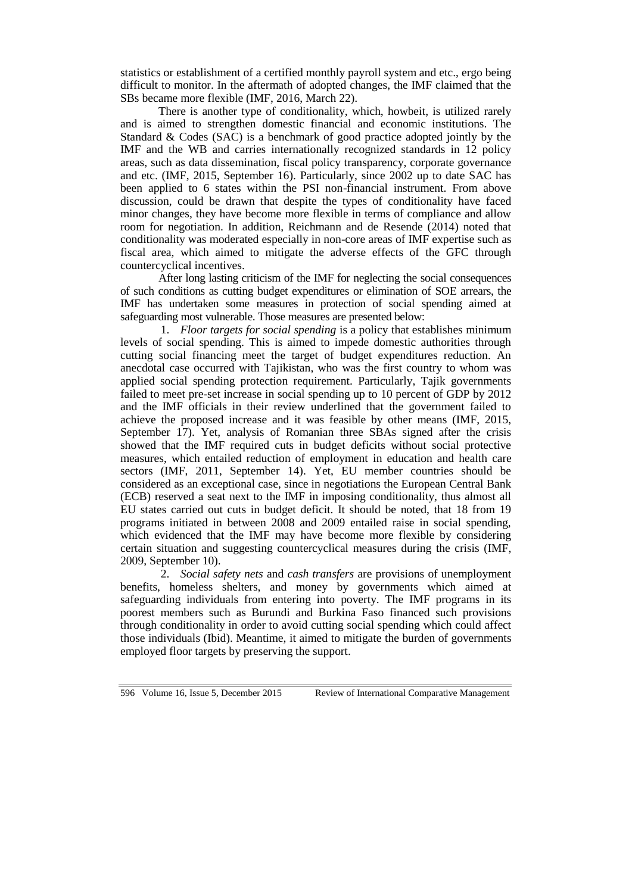statistics or establishment of a certified monthly payroll system and etc., ergo being difficult to monitor. In the aftermath of adopted changes, the IMF claimed that the SBs became more flexible (IMF, 2016, March 22).

There is another type of conditionality, which, howbeit, is utilized rarely and is aimed to strengthen domestic financial and economic institutions. The Standard & Codes (SAC) is a benchmark of good practice adopted jointly by the IMF and the WB and carries internationally recognized standards in 12 policy areas, such as data dissemination, fiscal policy transparency, corporate governance and etc. (IMF, 2015, September 16). Particularly, since 2002 up to date SAC has been applied to 6 states within the PSI non-financial instrument. From above discussion, could be drawn that despite the types of conditionality have faced minor changes, they have become more flexible in terms of compliance and allow room for negotiation. In addition, Reichmann and de Resende (2014) noted that conditionality was moderated especially in non-core areas of IMF expertise such as fiscal area, which aimed to mitigate the adverse effects of the GFC through countercyclical incentives.

After long lasting criticism of the IMF for neglecting the social consequences of such conditions as cutting budget expenditures or elimination of SOE arrears, the IMF has undertaken some measures in protection of social spending aimed at safeguarding most vulnerable. Those measures are presented below:

1. *Floor targets for social spending* is a policy that establishes minimum levels of social spending. This is aimed to impede domestic authorities through cutting social financing meet the target of budget expenditures reduction. An anecdotal case occurred with Tajikistan, who was the first country to whom was applied social spending protection requirement. Particularly, Tajik governments failed to meet pre-set increase in social spending up to 10 percent of GDP by 2012 and the IMF officials in their review underlined that the government failed to achieve the proposed increase and it was feasible by other means (IMF, 2015, September 17). Yet, analysis of Romanian three SBAs signed after the crisis showed that the IMF required cuts in budget deficits without social protective measures, which entailed reduction of employment in education and health care sectors (IMF, 2011, September 14). Yet, EU member countries should be considered as an exceptional case, since in negotiations the European Central Bank (ECB) reserved a seat next to the IMF in imposing conditionality, thus almost all EU states carried out cuts in budget deficit. It should be noted, that 18 from 19 programs initiated in between 2008 and 2009 entailed raise in social spending, which evidenced that the IMF may have become more flexible by considering certain situation and suggesting countercyclical measures during the crisis (IMF, 2009, September 10).

2. *Social safety nets* and *cash transfers* are provisions of unemployment benefits, homeless shelters, and money by governments which aimed at safeguarding individuals from entering into poverty. The IMF programs in its poorest members such as Burundi and Burkina Faso financed such provisions through conditionality in order to avoid cutting social spending which could affect those individuals (Ibid). Meantime, it aimed to mitigate the burden of governments employed floor targets by preserving the support.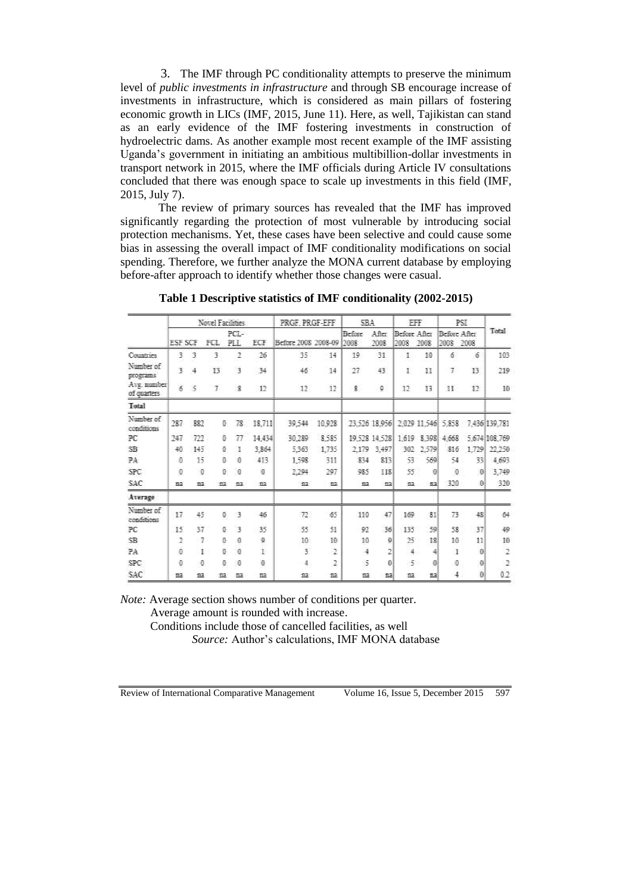3. The IMF through PC conditionality attempts to preserve the minimum level of *public investments in infrastructure* and through SB encourage increase of investments in infrastructure, which is considered as main pillars of fostering economic growth in LICs (IMF, 2015, June 11). Here, as well, Tajikistan can stand as an early evidence of the IMF fostering investments in construction of hydroelectric dams. As another example most recent example of the IMF assisting Uganda's government in initiating an ambitious multibillion-dollar investments in transport network in 2015, where the IMF officials during Article IV consultations concluded that there was enough space to scale up investments in this field (IMF, 2015, July 7).

The review of primary sources has revealed that the IMF has improved significantly regarding the protection of most vulnerable by introducing social protection mechanisms. Yet, these cases have been selective and could cause some bias in assessing the overall impact of IMF conditionality modifications on social spending. Therefore, we further analyze the MONA current database by employing before-after approach to identify whether those changes were casual.

|                            | Novel Facilities          |                |        |                         | PRGF, PRGF-EFF |                     | SB <sub>A</sub> |                       | EFF            |                      | PST.           |                           |                     |                                                |  |
|----------------------------|---------------------------|----------------|--------|-------------------------|----------------|---------------------|-----------------|-----------------------|----------------|----------------------|----------------|---------------------------|---------------------|------------------------------------------------|--|
|                            | <b>ESF SCF</b>            |                | FCL    | PCL-<br>PLI.            | ECF            | Before 2008 2008-09 |                 | <b>Before</b><br>2008 | After<br>2008  | Before After<br>2008 | 2008           | Before After<br>2008 2008 |                     | Total                                          |  |
| Countries                  | 3                         | $\overline{3}$ | 3      | 2                       | 26             | 35                  | 14              | 10                    | 31             | $\mathbb{I}$         | 10             | 6                         | 6                   | 103                                            |  |
| Number of<br>programs      | $\overline{\mathfrak{m}}$ | 4              | 13     | $\overline{3}$          | 34             | 46                  | 14              | -27                   | 43             | I                    | 11             | T.                        | 13                  | 219                                            |  |
| Avg. number<br>of quarters | $\delta$                  | $\leq$         | $\tau$ | 8                       | 12             | 12                  | 12              | s.                    | 9              | 12                   | 13             | 11                        | 12                  | 10                                             |  |
| Total                      |                           |                |        |                         |                |                     |                 |                       |                |                      |                |                           |                     |                                                |  |
| Number of<br>conditions    | 287                       | 882            |        | 78<br>Ü.                | 18,711         | 39.544              | 10,928          |                       |                |                      |                |                           |                     | 23,526 18,956 2,029 11,546 5,858 7,436 139,781 |  |
| PC                         | 247                       | 722            | ū      | 77                      | 14,434         | 30,289              | 8.585           |                       | 19.528 14.528  |                      |                | 1,619 8,398 4,668         |                     | 5.674 108.769                                  |  |
| SB <sub>1</sub>            | 40                        | 145            | 吾      | з                       | 3.864          | 5363                | 1.735           | 2.179                 | 3 497          | 302                  | 2.579          | 816                       |                     | 1,729 22.250                                   |  |
| PA                         | ø                         | 15             | ū      | $\ddot{\phantom{0}}$    | 413            | 1,598               | 311             | 834                   | 813            | 53                   | 569            | 54                        | 33                  | 4,693                                          |  |
| <b>SPC</b>                 | $\ddot{0}$                | $\Box$         |        | $\overline{0}$<br>a.    | Ð              | 2.294               | 297             | 985                   | 118            | 55                   | $\overline{0}$ | $\ddot{0}$                | $\partial$          | 3,749                                          |  |
| <b>SAC</b>                 | na                        | na             | 盤      | 132                     | $12$           | m                   | 32              | B2                    | ma             | na.                  | nal            | 320                       | $\theta$            | 320                                            |  |
| Average                    |                           |                |        |                         |                |                     |                 |                       |                |                      |                |                           |                     |                                                |  |
| Number of<br>conditions    | 17                        | 45             |        | Ð.<br>3                 | 46             | 72                  | 65              | 110                   | 47             | 169                  | 81             | 73                        | 48                  | 64                                             |  |
| PC                         | 15                        | 37             | a      | $\overline{\mathbf{3}}$ | 35             | 55                  | 51              | 92                    | 36             | 135                  | 50             | 58                        | 37                  | 49                                             |  |
| SB <sub>1</sub>            | 2                         | -7             | 8      | $\mathbf{0}$            | 9              | $10^{-1}$           | 10              | 10                    | 9              | 25                   | 18             | 10                        | 11                  | 10                                             |  |
| PA                         | Đ.                        |                | a<br>1 | $\ddot{\text{o}}$       | 1              | $\overline{3}$      | $\overline{2}$  | 4                     | $\overline{2}$ | $\ddot{=}$           | 4              | 1                         | $\ddot{\mathbf{a}}$ | $\mathfrak{Z}$                                 |  |
| SPC.                       | Đ.                        | 0              | 自      | $\theta$                | ø              | 4                   | 2               | 5                     | $\theta$       | 5                    | $\Theta$       | Ð                         | $\Theta$            | 2                                              |  |
| SAC                        | na.                       | fia            | B2     | 52                      | $12$           | aa                  | fi2             | 52                    | tal            | 当定                   | 122            | $\ddot{\div}$             | $\theta$            | 0.2                                            |  |

**Table 1 Descriptive statistics of IMF conditionality (2002-2015)**

*Note:* Average section shows number of conditions per quarter. Average amount is rounded with increase.

Conditions include those of cancelled facilities, as well *Source:* Author's calculations, IMF MONA database

Review of International Comparative Management Volume 16, Issue 5, December 2015 597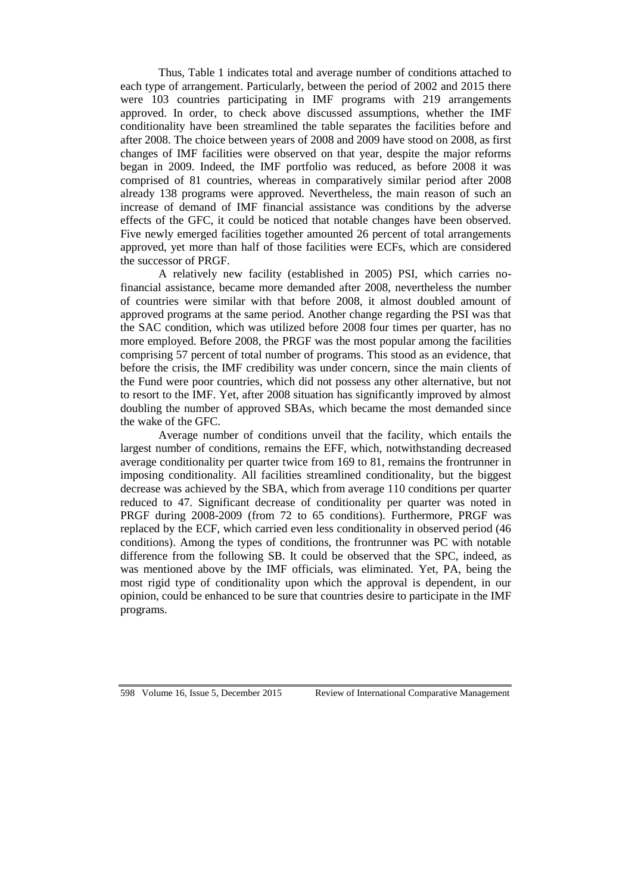Thus, Table 1 indicates total and average number of conditions attached to each type of arrangement. Particularly, between the period of 2002 and 2015 there were 103 countries participating in IMF programs with 219 arrangements approved. In order, to check above discussed assumptions, whether the IMF conditionality have been streamlined the table separates the facilities before and after 2008. The choice between years of 2008 and 2009 have stood on 2008, as first changes of IMF facilities were observed on that year, despite the major reforms began in 2009. Indeed, the IMF portfolio was reduced, as before 2008 it was comprised of 81 countries, whereas in comparatively similar period after 2008 already 138 programs were approved. Nevertheless, the main reason of such an increase of demand of IMF financial assistance was conditions by the adverse effects of the GFC, it could be noticed that notable changes have been observed. Five newly emerged facilities together amounted 26 percent of total arrangements approved, yet more than half of those facilities were ECFs, which are considered the successor of PRGF.

A relatively new facility (established in 2005) PSI, which carries nofinancial assistance, became more demanded after 2008, nevertheless the number of countries were similar with that before 2008, it almost doubled amount of approved programs at the same period. Another change regarding the PSI was that the SAC condition, which was utilized before 2008 four times per quarter, has no more employed. Before 2008, the PRGF was the most popular among the facilities comprising 57 percent of total number of programs. This stood as an evidence, that before the crisis, the IMF credibility was under concern, since the main clients of the Fund were poor countries, which did not possess any other alternative, but not to resort to the IMF. Yet, after 2008 situation has significantly improved by almost doubling the number of approved SBAs, which became the most demanded since the wake of the GFC.

Average number of conditions unveil that the facility, which entails the largest number of conditions, remains the EFF, which, notwithstanding decreased average conditionality per quarter twice from 169 to 81, remains the frontrunner in imposing conditionality. All facilities streamlined conditionality, but the biggest decrease was achieved by the SBA, which from average 110 conditions per quarter reduced to 47. Significant decrease of conditionality per quarter was noted in PRGF during 2008-2009 (from 72 to 65 conditions). Furthermore, PRGF was replaced by the ECF, which carried even less conditionality in observed period (46 conditions). Among the types of conditions, the frontrunner was PC with notable difference from the following SB. It could be observed that the SPC, indeed, as was mentioned above by the IMF officials, was eliminated. Yet, PA, being the most rigid type of conditionality upon which the approval is dependent, in our opinion, could be enhanced to be sure that countries desire to participate in the IMF programs.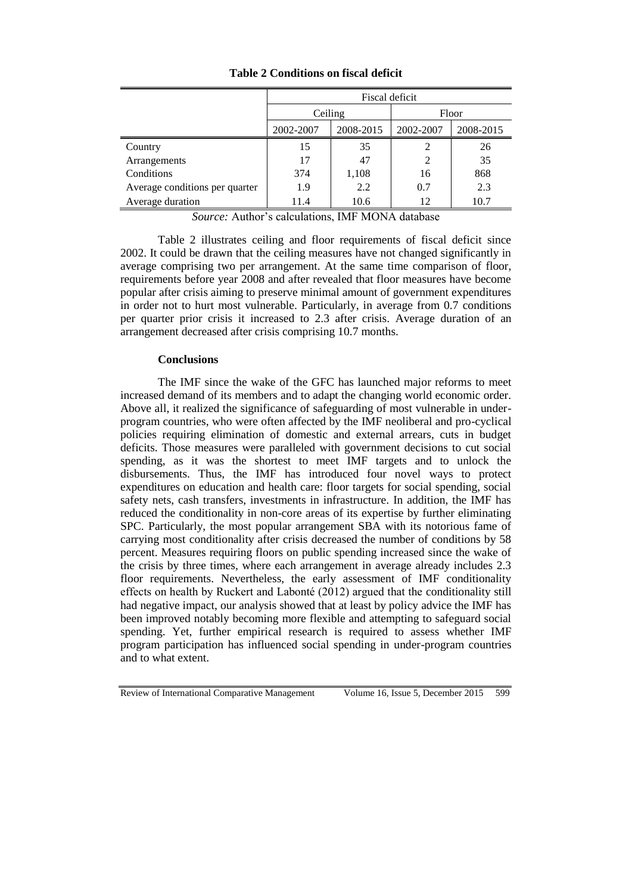|                                | Fiscal deficit |           |                |           |  |  |
|--------------------------------|----------------|-----------|----------------|-----------|--|--|
|                                | Ceiling        |           | Floor          |           |  |  |
|                                | 2002-2007      | 2008-2015 | 2002-2007      | 2008-2015 |  |  |
| Country                        | 15             | 35        | $\mathfrak{D}$ | 26        |  |  |
| Arrangements                   | 17             | 47        | $\overline{2}$ | 35        |  |  |
| Conditions                     | 374            | 1,108     | 16             | 868       |  |  |
| Average conditions per quarter | 1.9            | 2.2       | 0.7            | 2.3       |  |  |
| Average duration               | 11.4           | 10.6      | 12             | 10.7      |  |  |

**Table 2 Conditions on fiscal deficit**

*Source:* Author's calculations, IMF MONA database

Table 2 illustrates ceiling and floor requirements of fiscal deficit since 2002. It could be drawn that the ceiling measures have not changed significantly in average comprising two per arrangement. At the same time comparison of floor, requirements before year 2008 and after revealed that floor measures have become popular after crisis aiming to preserve minimal amount of government expenditures in order not to hurt most vulnerable. Particularly, in average from 0.7 conditions per quarter prior crisis it increased to 2.3 after crisis. Average duration of an arrangement decreased after crisis comprising 10.7 months.

## **Conclusions**

The IMF since the wake of the GFC has launched major reforms to meet increased demand of its members and to adapt the changing world economic order. Above all, it realized the significance of safeguarding of most vulnerable in underprogram countries, who were often affected by the IMF neoliberal and pro-cyclical policies requiring elimination of domestic and external arrears, cuts in budget deficits. Those measures were paralleled with government decisions to cut social spending, as it was the shortest to meet IMF targets and to unlock the disbursements. Thus, the IMF has introduced four novel ways to protect expenditures on education and health care: floor targets for social spending, social safety nets, cash transfers, investments in infrastructure. In addition, the IMF has reduced the conditionality in non-core areas of its expertise by further eliminating SPC. Particularly, the most popular arrangement SBA with its notorious fame of carrying most conditionality after crisis decreased the number of conditions by 58 percent. Measures requiring floors on public spending increased since the wake of the crisis by three times, where each arrangement in average already includes 2.3 floor requirements. Nevertheless, the early assessment of IMF conditionality effects on health by Ruckert and Labonté (2012) argued that the conditionality still had negative impact, our analysis showed that at least by policy advice the IMF has been improved notably becoming more flexible and attempting to safeguard social spending. Yet, further empirical research is required to assess whether IMF program participation has influenced social spending in under-program countries and to what extent.

Review of International Comparative Management Volume 16, Issue 5, December 2015 599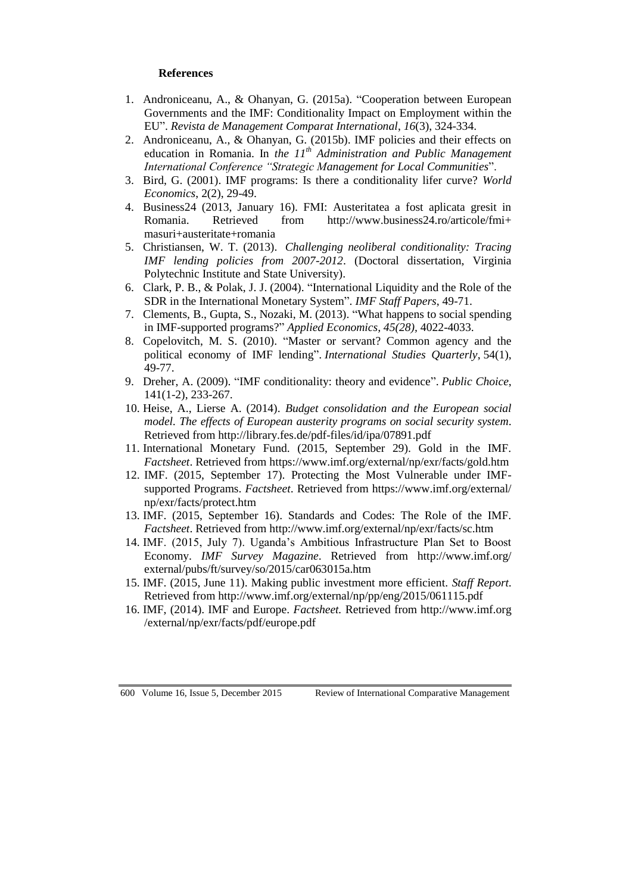## **References**

- 1. Androniceanu, A., & Ohanyan, G. (2015a). "Cooperation between European Governments and the IMF: Conditionality Impact on Employment within the EU". *Revista de Management Comparat International*, *16*(3), 324-334.
- 2. Androniceanu, A., & Ohanyan, G. (2015b). IMF policies and their effects on education in Romania. In *the 11th Administration and Public Management International Conference "Strategic Management for Local Communities*".
- 3. Bird, G. (2001). IMF programs: Is there a conditionality lifer curve? *World Economics*, 2(2), 29-49.
- 4. Business24 (2013, January 16). FMI: Austeritatea a fost aplicata gresit in Romania. Retrieved from [http://www.business24.ro/articole/fmi+](http://www.business24.ro/articole/fmi+masuri+austeritate+romania) [masuri+austeritate+romania](http://www.business24.ro/articole/fmi+masuri+austeritate+romania)
- 5. Christiansen, W. T. (2013). *Challenging neoliberal conditionality: Tracing IMF lending policies from 2007-2012*. (Doctoral dissertation, Virginia Polytechnic Institute and State University).
- 6. Clark, P. B., & Polak, J. J. (2004). "International Liquidity and the Role of the SDR in the International Monetary System". *IMF Staff Papers*, 49-71.
- 7. Clements, B., Gupta, S., Nozaki, M. (2013). "What happens to social spending in IMF-supported programs?" *Applied Economics, 45(28),* 4022-4033.
- 8. Copelovitch, M. S. (2010). "Master or servant? Common agency and the political economy of IMF lending". *International Studies Quarterly*, 54(1), 49-77.
- 9. Dreher, A. (2009). "IMF conditionality: theory and evidence". *Public Choice*, 141(1-2), 233-267.
- 10. Heise, A., Lierse A. (2014). *Budget consolidation and the European social model. The effects of European austerity programs on social security system*. Retrieved from<http://library.fes.de/pdf-files/id/ipa/07891.pdf>
- 11. International Monetary Fund. (2015, September 29). Gold in the IMF. *Factsheet*. Retrieved from<https://www.imf.org/external/np/exr/facts/gold.htm>
- 12. IMF. (2015, September 17). Protecting the Most Vulnerable under IMFsupported Programs. *Factsheet*. Retrieved from [https://www.imf.org/external/](https://www.imf.org/external/np/exr/facts/protect.htm) [np/exr/facts/protect.htm](https://www.imf.org/external/np/exr/facts/protect.htm)
- 13. IMF. (2015, September 16). Standards and Codes: The Role of the IMF. *Factsheet*. Retrieved from<http://www.imf.org/external/np/exr/facts/sc.htm>
- 14. IMF. (2015, July 7). Uganda's Ambitious Infrastructure Plan Set to Boost Economy. *IMF Survey Magazine*. Retrieved from [http://www.imf.org/](http://www.imf.org/external/pubs/ft/survey/so/2015/car063015a.htm) [external/pubs/ft/survey/so/2015/car063015a.htm](http://www.imf.org/external/pubs/ft/survey/so/2015/car063015a.htm)
- 15. IMF. (2015, June 11). Making public investment more efficient. *Staff Report*. Retrieved from<http://www.imf.org/external/np/pp/eng/2015/061115.pdf>
- 16. IMF, (2014). IMF and Europe. *Factsheet.* Retrieved from http://www.imf.org /external/np/exr/facts/pdf/europe.pdf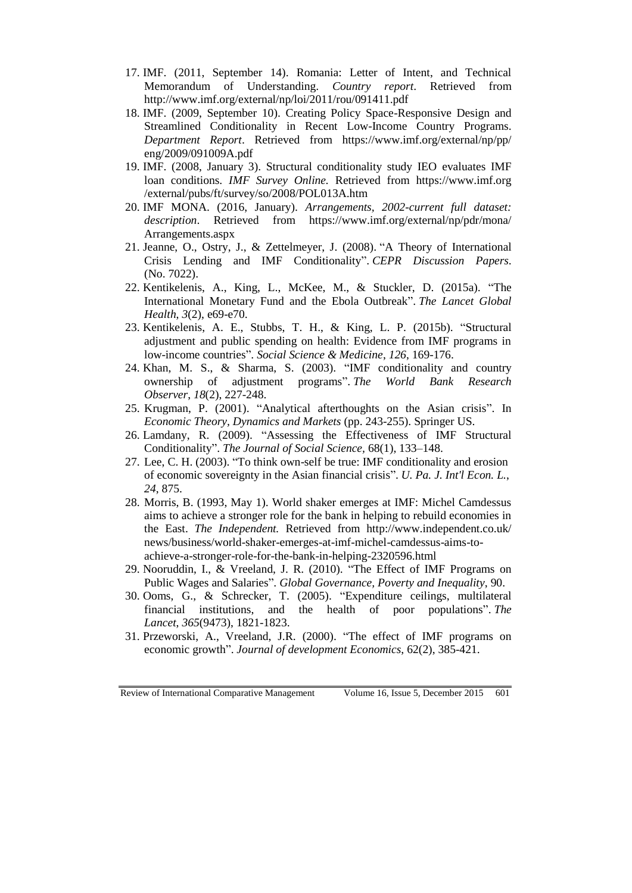- 17. IMF. (2011, September 14). Romania: Letter of Intent, and Technical Memorandum of Understanding. *Country report*. Retrieved from <http://www.imf.org/external/np/loi/2011/rou/091411.pdf>
- 18. IMF. (2009, September 10). Creating Policy Space-Responsive Design and Streamlined Conditionality in Recent Low-Income Country Programs. *Department Report*. Retrieved from [https://www.imf.org/external/np/pp/](https://www.imf.org/external/np/pp/eng/2009/091009A.pdf) [eng/2009/091009A.pdf](https://www.imf.org/external/np/pp/eng/2009/091009A.pdf)
- 19. IMF. (2008, January 3). Structural conditionality study IEO evaluates IMF loan conditions. *IMF Survey Online.* Retrieved from [https://www.imf.org](https://www.imf.org/external/pubs/ft/survey/so/2008/POL013A.htm) [/external/pubs/ft/survey/so/2008/POL013A.htm](https://www.imf.org/external/pubs/ft/survey/so/2008/POL013A.htm)
- 20. IMF MONA. (2016, January). *Arrangements, 2002-current full dataset: description*. Retrieved from [https://www.imf.org/external/np/pdr/mona/](https://www.imf.org/external/np/pdr/mona/Arrangements.aspx) [Arrangements.aspx](https://www.imf.org/external/np/pdr/mona/Arrangements.aspx)
- 21. Jeanne, O., Ostry, J., & Zettelmeyer, J. (2008). "A Theory of International Crisis Lending and IMF Conditionality". *CEPR Discussion Papers*. (No. 7022).
- 22. Kentikelenis, A., King, L., McKee, M., & Stuckler, D. (2015a). "The International Monetary Fund and the Ebola Outbreak". *The Lancet Global Health*, *3*(2), e69-e70.
- 23. Kentikelenis, A. E., Stubbs, T. H., & King, L. P. (2015b). "Structural adjustment and public spending on health: Evidence from IMF programs in low-income countries". *Social Science & Medicine*, *126*, 169-176.
- 24. Khan, M. S., & Sharma, S. (2003). "IMF conditionality and country ownership of adjustment programs". *The World Bank Research Observer*, *18*(2), 227-248.
- 25. Krugman, P. (2001). "Analytical afterthoughts on the Asian crisis". In *Economic Theory, Dynamics and Markets* (pp. 243-255). Springer US.
- 26. Lamdany, R. (2009). "Assessing the Effectiveness of IMF Structural Conditionality". *The Journal of Social Science,* 68(1), 133–148.
- 27. Lee, C. H. (2003). "To think own-self be true: IMF conditionality and erosion of economic sovereignty in the Asian financial crisis". *U. Pa. J. Int'l Econ. L.*, *24*, 875.
- 28. Morris, B. (1993, May 1). World shaker emerges at IMF: Michel Camdessus aims to achieve a stronger role for the bank in helping to rebuild economies in the East. *The Independent.* Retrieved from [http://www.independent.co.uk/](http://www.independent.co.uk/news/business/world-shaker-emerges-at-imf-michel-camdessus-aims-to-achieve-a-stronger-role-for-the-bank-in-helping-2320596.html) [news/business/world-shaker-emerges-at-imf-michel-camdessus-aims-to](http://www.independent.co.uk/news/business/world-shaker-emerges-at-imf-michel-camdessus-aims-to-achieve-a-stronger-role-for-the-bank-in-helping-2320596.html)[achieve-a-stronger-role-for-the-bank-in-helping-2320596.html](http://www.independent.co.uk/news/business/world-shaker-emerges-at-imf-michel-camdessus-aims-to-achieve-a-stronger-role-for-the-bank-in-helping-2320596.html)
- 29. Nooruddin, I., & Vreeland, J. R. (2010). "The Effect of IMF Programs on Public Wages and Salaries". *Global Governance, Poverty and Inequality*, 90.
- 30. Ooms, G., & Schrecker, T. (2005). "Expenditure ceilings, multilateral financial institutions, and the health of poor populations". *The Lancet*, *365*(9473), 1821-1823.
- 31. Przeworski, A., Vreeland, J.R. (2000). "The effect of IMF programs on economic growth". *Journal of development Economics*, 62(2), 385-421.

Review of International Comparative Management Volume 16, Issue 5, December 2015 601